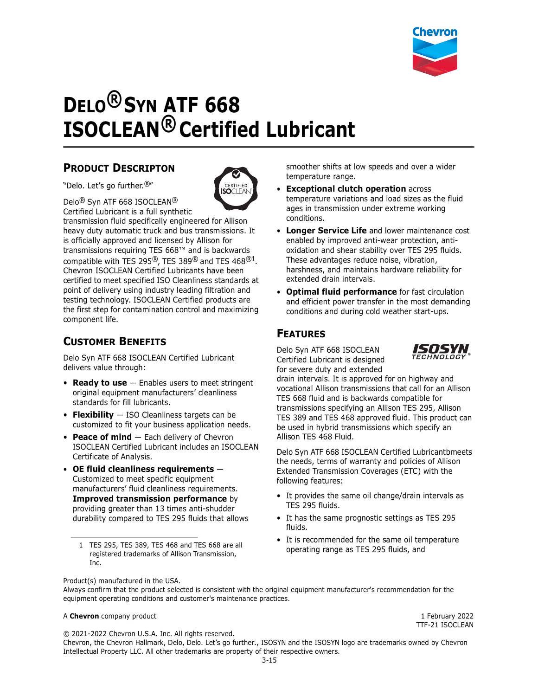

# **DELO® SYN ATF 668 ISOCLEAN® Certified Lubricant**

#### **PRODUCT DESCRIPTON**

"Delo. Let's go further.®"



Delo® Syn ATF 668 ISOCLEAN® Certified Lubricant is a full synthetic

transmission fluid specifically engineered for Allison heavy duty automatic truck and bus transmissions. It is officially approved and licensed by Allison for transmissions requiring TES 668™ and is backwards compatible with TES 295®, TES 389® and TES 468®1. Chevron ISOCLEAN Certified Lubricants have been certified to meet specified ISO Cleanliness standards at point of delivery using industry leading filtration and testing technology. ISOCLEAN Certified products are the first step for contamination control and maximizing component life.

## **CUSTOMER BENEFITS**

Delo Syn ATF 668 ISOCLEAN Certified Lubricant delivers value through:

- **Ready to use** Enables users to meet stringent original equipment manufacturers' cleanliness standards for fill lubricants.
- **Flexibility** ISO Cleanliness targets can be customized to fit your business application needs.
- **Peace of mind** Each delivery of Chevron ISOCLEAN Certified Lubricant includes an ISOCLEAN Certificate of Analysis.
- **OE fluid cleanliness requirements** Customized to meet specific equipment manufacturers' fluid cleanliness requirements. **Improved transmission performance** by providing greater than 13 times anti-shudder durability compared to TES 295 fluids that allows

smoother shifts at low speeds and over a wider temperature range.

- **Exceptional clutch operation** across temperature variations and load sizes as the fluid ages in transmission under extreme working conditions.
- **Longer Service Life** and lower maintenance cost enabled by improved anti-wear protection, antioxidation and shear stability over TES 295 fluids. These advantages reduce noise, vibration, harshness, and maintains hardware reliability for extended drain intervals.
- **Optimal fluid performance** for fast circulation and efficient power transfer in the most demanding conditions and during cold weather start-ups.

## **FEATURES**

Delo Syn ATF 668 ISOCLEAN Certified Lubricant is designed for severe duty and extended



drain intervals. It is approved for on highway and vocational Allison transmissions that call for an Allison TES 668 fluid and is backwards compatible for transmissions specifying an Allison TES 295, Allison TES 389 and TES 468 approved fluid. This product can be used in hybrid transmissions which specify an Allison TES 468 Fluid.

Delo Syn ATF 668 ISOCLEAN Certified Lubricantbmeets the needs, terms of warranty and policies of Allison Extended Transmission Coverages (ETC) with the following features:

- It provides the same oil change/drain intervals as TES 295 fluids.
- It has the same prognostic settings as TES 295 fluids.
- It is recommended for the same oil temperature

Product(s) manufactured in the USA.

#### A **Chevron** company product 1 February 2022

TTF-21 ISOCLEAN

© 2021-2022 Chevron U.S.A. Inc. All rights reserved.

Chevron, the Chevron Hallmark, Delo, Delo. Let's go further., ISOSYN and the ISOSYN logo are trademarks owned by Chevron Intellectual Property LLC. All other trademarks are property of their respective owners.

operating range as TES 295, TES 389, TES 468 and TES 668 are all<br>operating range as TES 295 fluids, and registered trademarks of Allison Transmission, Inc.

Always confirm that the product selected is consistent with the original equipment manufacturer's recommendation for the equipment operating conditions and customer's maintenance practices.